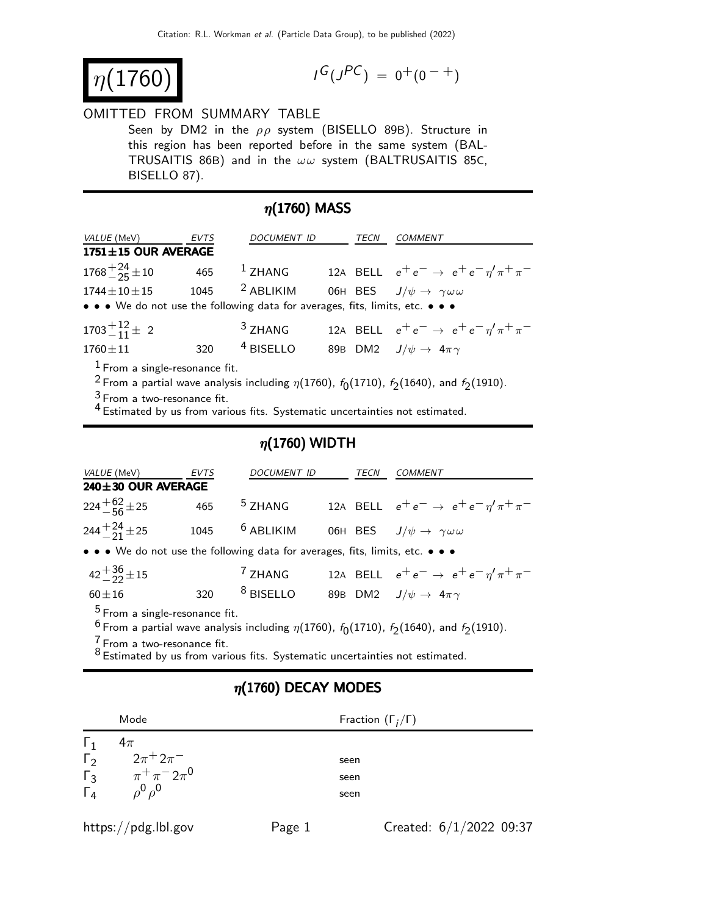$\eta(1760)$  |

$$
I^G(J^{PC}) = 0^+(0^{-+})
$$

#### OMITTED FROM SUMMARY TABLE

Seen by DM2 in the  $\rho \rho$  system (BISELLO 89B). Structure in this region has been reported before in the same system (BAL-TRUSAITIS 86B) and in the  $\omega \omega$  system (BALTRUSAITIS 85C, BISELLO 87).

### $\eta(1760)$  MASS

| <i>VALUE</i> (MeV)                                                                                                                                                                                     | EVTS | DOCUMENT ID        |  | TECN | <b>COMMENT</b>                                                 |  |
|--------------------------------------------------------------------------------------------------------------------------------------------------------------------------------------------------------|------|--------------------|--|------|----------------------------------------------------------------|--|
| $1751 \pm 15$ OUR AVERAGE                                                                                                                                                                              |      |                    |  |      |                                                                |  |
| $1768 + \frac{24}{25} \pm 10$                                                                                                                                                                          |      | 465 $1$ ZHANG      |  |      | 12A BELL $e^+e^- \rightarrow e^+e^-\eta^{\prime}\pi^+\pi^-$    |  |
| $1744 \pm 10 \pm 15$                                                                                                                                                                                   | 1045 | $2$ ABLIKIM        |  |      | 06H BES $J/\psi \rightarrow \gamma \omega \omega$              |  |
| • • • We do not use the following data for averages, fits, limits, etc. • • •                                                                                                                          |      |                    |  |      |                                                                |  |
| $1703 + 12 + 2$                                                                                                                                                                                        |      | <sup>3</sup> ZHANG |  |      | 12A BELL $e^+e^- \rightarrow e^+e^- \eta^{\prime} \pi^+ \pi^-$ |  |
| $1760 \pm 11$                                                                                                                                                                                          | 320  | $4$ BISELLO        |  |      | 89B DM2 $J/\psi \rightarrow 4\pi \gamma$                       |  |
| $1$ From a single-resonance fit.<br><sup>2</sup> From a partial wave analysis including $\eta(1760)$ , $f_0(1710)$ , $f_2(1640)$ , and $f_2(1910)$ .<br>$3r_{\rm max}$ a mus presence of $r_{\rm max}$ |      |                    |  |      |                                                                |  |

3 From a two-resonance fit.

4 Estimated by us from various fits. Systematic uncertainties not estimated.

### $\eta(1760)$  WIDTH

| VALUE (MeV)                                                                                                      | <b>EVTS</b> | DOCUMENT ID          |  | TECN | <b>COMMENT</b>                                                 |
|------------------------------------------------------------------------------------------------------------------|-------------|----------------------|--|------|----------------------------------------------------------------|
| 240±30 OUR AVERAGE                                                                                               |             |                      |  |      |                                                                |
| $224 + 62 + 25$                                                                                                  | 465         | <sup>5</sup> ZHANG   |  |      | 12A BELL $e^+e^- \rightarrow e^+e^-\eta^{\prime}\pi^+\pi^-$    |
| $244 + \frac{24}{21} \pm 25$                                                                                     | 1045        | $6$ ABLIKIM          |  |      | O6H BES $J/\psi \rightarrow \gamma \omega \omega$              |
| • • • We do not use the following data for averages, fits, limits, etc. • • •                                    |             |                      |  |      |                                                                |
| $42 + \frac{36}{22} \pm 15$                                                                                      |             | <sup>7</sup> ZHANG   |  |      | 12A BELL $e^+e^- \rightarrow e^+e^- \eta^{\prime} \pi^+ \pi^-$ |
| $60 + 16$                                                                                                        | 320         | <sup>8</sup> BISELLO |  |      | 89B DM2 $J/\psi \rightarrow 4\pi \gamma$                       |
| $5$ From a single-resonance fit.                                                                                 |             |                      |  |      |                                                                |
|                                                                                                                  |             |                      |  |      |                                                                |
| <sup>6</sup> From a partial wave analysis including $\eta(1760)$ , $f_0(1710)$ , $f_2(1640)$ , and $f_2(1910)$ . |             |                      |  |      |                                                                |
| $\frac{7}{1}$ From a two-resonance fit.                                                                          |             |                      |  |      |                                                                |
| $8 -$ . It can be calculated the set of $\sim$                                                                   |             |                      |  |      |                                                                |

<sup>o</sup> Estimated by us from various fits. Systematic uncertainties not estimated.

### $\eta(1760)$  DECAY MODES

|                       | Mode                                    | Fraction $(\Gamma_i/\Gamma)$ |
|-----------------------|-----------------------------------------|------------------------------|
| $\mathbf{L}_1$        | $4\pi$                                  |                              |
| $\Gamma_2$            | $2\pi$ <sup>+</sup> $2\pi$ <sup>-</sup> | seen                         |
| $\overline{\Gamma_3}$ | $\pi^{+}\pi^{-}2\pi^{0}$                | seen                         |
| $\overrightarrow{L}$  | $\rho^0 \rho^0$                         | seen                         |
|                       |                                         |                              |

https://pdg.lbl.gov Page 1 Created: 6/1/2022 09:37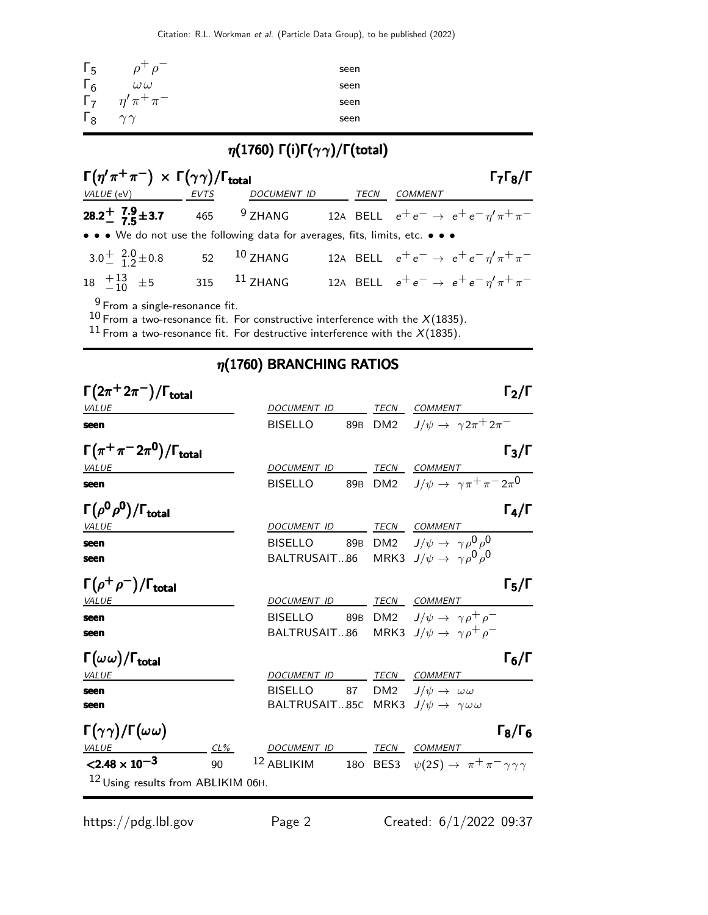| $\Gamma_{5}$ | $\rho^+$<br>$\rho$  | seen |
|--------------|---------------------|------|
| $\Gamma_6$   | $\omega\,\omega$    | seen |
| $\Gamma_7$   | $\eta' \pi^+ \pi^-$ | seen |
| $\Gamma_8$   | $\sim$ $\sim$       | seen |

# η(1760) Γ(i)Γ(γ γ)/Γ(total)

| $\Gamma(\eta'\pi^+\pi^-) \times \Gamma(\gamma\gamma)/\Gamma_{\text{total}}$   |                |             |                | $\Gamma_7\Gamma_8/\Gamma$                                   |
|-------------------------------------------------------------------------------|----------------|-------------|----------------|-------------------------------------------------------------|
| VALUE (eV) EVTS                                                               | DOCUMENT ID    | <b>TECN</b> | <b>COMMENT</b> |                                                             |
| 28.2 <sup>+</sup> 7.9 + 3.7 465 $9$ ZHANG                                     |                |             |                | 12A BELL $e^+e^- \rightarrow e^+e^-\eta^{\prime}\pi^+\pi^-$ |
| • • • We do not use the following data for averages, fits, limits, etc. • • • |                |             |                |                                                             |
| $3.0^{+}$ $^{2.0}_{-}$ $_{1.2}^{+}$ $_{2.6}^{+}$                              | 52 10 ZHANG    |             |                | 12A BELL $e^+e^- \rightarrow e^+e^-\eta^{\prime}\pi^+\pi^-$ |
| $18 \quad +13 \quad +5$                                                       | 315 $11$ ZHANG |             |                | 12A BELL $e^+e^- \rightarrow e^+e^-\eta^{\prime}\pi^+\pi^-$ |
|                                                                               |                |             |                |                                                             |

 $9$  From a single-resonance fit.

 $10$  From a two-resonance fit. For constructive interference with the  $X(1835)$ .

 $^{11}$  From a two-resonance fit. For destructive interference with the  $X(\dot{1}835).$ 

## $\eta(1760)$  BRANCHING RATIOS

| $\Gamma(2\pi^+2\pi^-)/\Gamma_{\rm total}$                   |                                            |  |                                                                                                                          | Г $_{\rm 2}$ /Г     |
|-------------------------------------------------------------|--------------------------------------------|--|--------------------------------------------------------------------------------------------------------------------------|---------------------|
| <i>VALUE</i><br>seen                                        | DOCUMENT ID TECN COMMENT<br><b>BISELLO</b> |  | 89B DM2 $J/\psi \rightarrow \gamma 2\pi^+ 2\pi^-$                                                                        |                     |
| $\Gamma(\pi^+\pi^-2\pi^0)/\Gamma_{\rm total}$               |                                            |  |                                                                                                                          | $\Gamma_3/\Gamma$   |
| <b>VALUE</b><br>seen                                        | DOCUMENT ID TECN COMMENT<br><b>BISELLO</b> |  | 89B DM2 $J/\psi \rightarrow \gamma \pi^+ \pi^- 2 \pi^0$                                                                  |                     |
| $\Gamma(\rho^0\rho^0)/\Gamma_{\rm total}$                   |                                            |  |                                                                                                                          | $\Gamma_4/\Gamma$   |
| <i>VALUE</i><br>seen<br>seen                                | DOCUMENT ID TECN COMMENT                   |  | BISELLO 89B DM2 $J/\psi \rightarrow \gamma \rho^0 \rho^0$<br>BALTRUSAIT86 MRK3 $J/\psi \rightarrow \gamma \rho^0 \rho^0$ |                     |
| $\Gamma(\rho^+\rho^-)/\Gamma_{\rm total}$<br>VALUE          | DOCUMENT ID TECN COMMENT                   |  |                                                                                                                          | $\Gamma_5/\Gamma$   |
| seen<br>seen                                                | BALTRUSAIT86                               |  | BISELLO 89B DM2 $J/\psi \rightarrow \gamma \rho^+ \rho^-$<br>MRK3 $J/\psi \rightarrow \gamma \rho^+ \rho^-$              |                     |
| $\Gamma(\omega\,\omega)/\Gamma_{\rm total}$<br><i>VALUE</i> | DOCUMENT ID TECN COMMENT                   |  |                                                                                                                          | $\Gamma_6/\Gamma$   |
| seen<br>seen                                                | <b>BISELLO</b>                             |  | 87 DM2 $J/\psi \rightarrow \omega \omega$<br>BALTRUSAIT85C MRK3 $J/\psi \rightarrow \gamma \omega \omega$                |                     |
| $\Gamma(\gamma\gamma)/\Gamma(\omega\omega)$<br>VALUE<br>CL% | DOCUMENT ID TECN COMMENT                   |  |                                                                                                                          | $\Gamma_8/\Gamma_6$ |
| $< 2.48 \times 10^{-3}$<br>90                               | $12$ ABLIKIM                               |  | 180 BES3 $\psi(2S) \rightarrow \pi^+ \pi^- \gamma \gamma \gamma$                                                         |                     |
| 12 Using results from ABLIKIM 06H.                          |                                            |  |                                                                                                                          |                     |

https://pdg.lbl.gov Page 2 Created: 6/1/2022 09:37